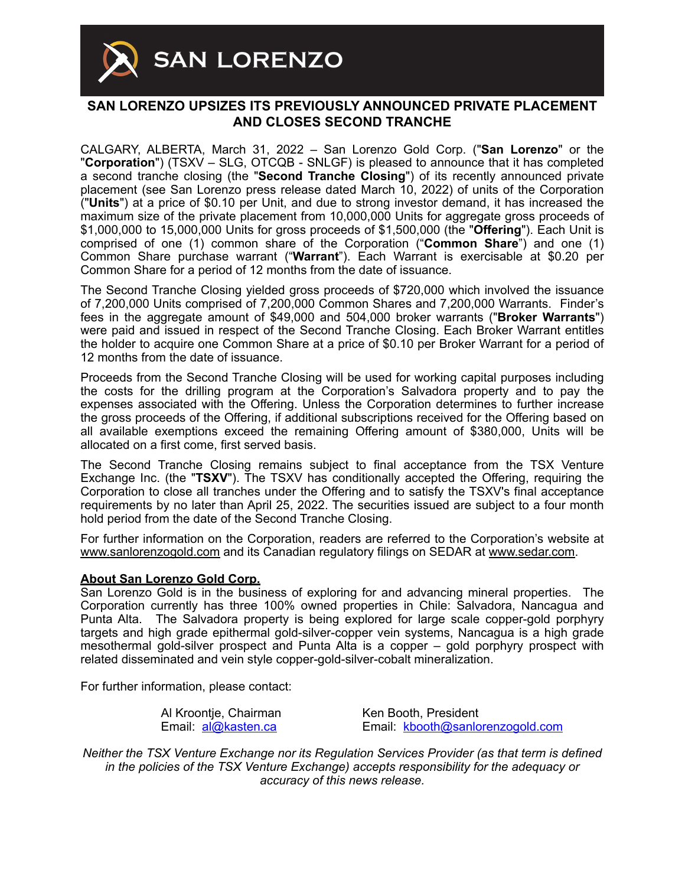

## **SAN LORENZO UPSIZES ITS PREVIOUSLY ANNOUNCED PRIVATE PLACEMENT AND CLOSES SECOND TRANCHE**

CALGARY, ALBERTA, March 31, 2022 – San Lorenzo Gold Corp. ("**San Lorenzo**" or the "**Corporation**") (TSXV – SLG, OTCQB - SNLGF) is pleased to announce that it has completed a second tranche closing (the "**Second Tranche Closing**") of its recently announced private placement (see San Lorenzo press release dated March 10, 2022) of units of the Corporation ("**Units**") at a price of \$0.10 per Unit, and due to strong investor demand, it has increased the maximum size of the private placement from 10,000,000 Units for aggregate gross proceeds of \$1,000,000 to 15,000,000 Units for gross proceeds of \$1,500,000 (the "**Offering**"). Each Unit is comprised of one (1) common share of the Corporation ("**Common Share**") and one (1) Common Share purchase warrant ("**Warrant**"). Each Warrant is exercisable at \$0.20 per Common Share for a period of 12 months from the date of issuance.

The Second Tranche Closing yielded gross proceeds of \$720,000 which involved the issuance of 7,200,000 Units comprised of 7,200,000 Common Shares and 7,200,000 Warrants. Finder's fees in the aggregate amount of \$49,000 and 504,000 broker warrants ("**Broker Warrants**") were paid and issued in respect of the Second Tranche Closing. Each Broker Warrant entitles the holder to acquire one Common Share at a price of \$0.10 per Broker Warrant for a period of 12 months from the date of issuance.

Proceeds from the Second Tranche Closing will be used for working capital purposes including the costs for the drilling program at the Corporation's Salvadora property and to pay the expenses associated with the Offering. Unless the Corporation determines to further increase the gross proceeds of the Offering, if additional subscriptions received for the Offering based on all available exemptions exceed the remaining Offering amount of \$380,000, Units will be allocated on a first come, first served basis.

The Second Tranche Closing remains subject to final acceptance from the TSX Venture Exchange Inc. (the "**TSXV**"). The TSXV has conditionally accepted the Offering, requiring the Corporation to close all tranches under the Offering and to satisfy the TSXV's final acceptance requirements by no later than April 25, 2022. The securities issued are subject to a four month hold period from the date of the Second Tranche Closing.

For further information on the Corporation, readers are referred to the Corporation's website at [www.sanlorenzogold.com](http://www.sanlorenzogold.com) and its Canadian regulatory filings on SEDAR at [www.sedar.com](http://www.sedar.com).

## **About San Lorenzo Gold Corp.**

San Lorenzo Gold is in the business of exploring for and advancing mineral properties. The Corporation currently has three 100% owned properties in Chile: Salvadora, Nancagua and Punta Alta. The Salvadora property is being explored for large scale copper-gold porphyry targets and high grade epithermal gold-silver-copper vein systems, Nancagua is a high grade mesothermal gold-silver prospect and Punta Alta is a copper – gold porphyry prospect with related disseminated and vein style copper-gold-silver-cobalt mineralization.

For further information, please contact:

| Al Kroontje, Chairman |                     |
|-----------------------|---------------------|
|                       | Email: al@kasten.ca |

Ken Booth, President Email: [kbooth@sanlorenzogold.com](mailto:kbooth@sanlorenzogold.com)

*Neither the TSX Venture Exchange nor its Regulation Services Provider (as that term is defined in the policies of the TSX Venture Exchange) accepts responsibility for the adequacy or accuracy of this news release.*